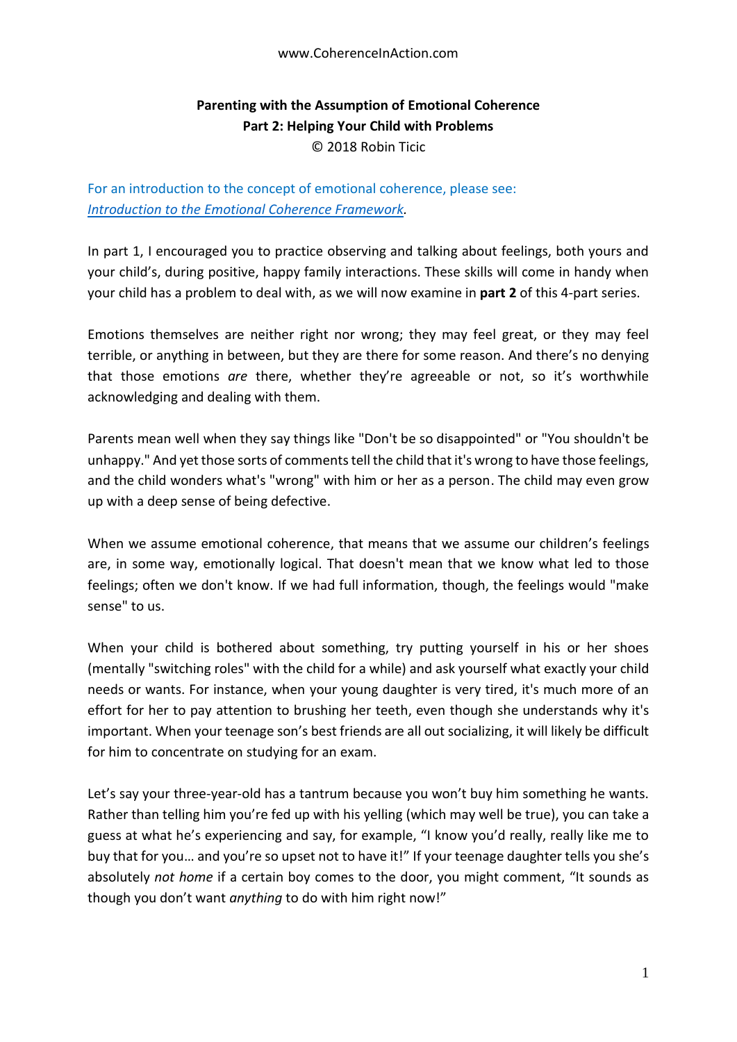## **Parenting with the Assumption of Emotional Coherence Part 2: Helping Your Child with Problems** © 2018 Robin Ticic

For an introduction to the concept of emotional coherence, please see: *[Introduction to the Emotional Coherence Framework.](https://docs.wixstatic.com/ugd/c5924b_b0a26bc557dd48ac9421975d9b8dce9a.pdf)*

In part 1, I encouraged you to practice observing and talking about feelings, both yours and your child's, during positive, happy family interactions. These skills will come in handy when your child has a problem to deal with, as we will now examine in **part 2** of this 4-part series.

Emotions themselves are neither right nor wrong; they may feel great, or they may feel terrible, or anything in between, but they are there for some reason. And there's no denying that those emotions *are* there, whether they're agreeable or not, so it's worthwhile acknowledging and dealing with them.

Parents mean well when they say things like "Don't be so disappointed" or "You shouldn't be unhappy." And yet those sorts of comments tell the child that it's wrong to have those feelings, and the child wonders what's "wrong" with him or her as a person. The child may even grow up with a deep sense of being defective.

When we assume emotional coherence, that means that we assume our children's feelings are, in some way, emotionally logical. That doesn't mean that we know what led to those feelings; often we don't know. If we had full information, though, the feelings would "make sense" to us.

When your child is bothered about something, try putting yourself in his or her shoes (mentally "switching roles" with the child for a while) and ask yourself what exactly your child needs or wants. For instance, when your young daughter is very tired, it's much more of an effort for her to pay attention to brushing her teeth, even though she understands why it's important. When your teenage son's best friends are all out socializing, it will likely be difficult for him to concentrate on studying for an exam.

Let's say your three-year-old has a tantrum because you won't buy him something he wants. Rather than telling him you're fed up with his yelling (which may well be true), you can take a guess at what he's experiencing and say, for example, "I know you'd really, really like me to buy that for you… and you're so upset not to have it!" If your teenage daughter tells you she's absolutely *not home* if a certain boy comes to the door, you might comment, "It sounds as though you don't want *anything* to do with him right now!"